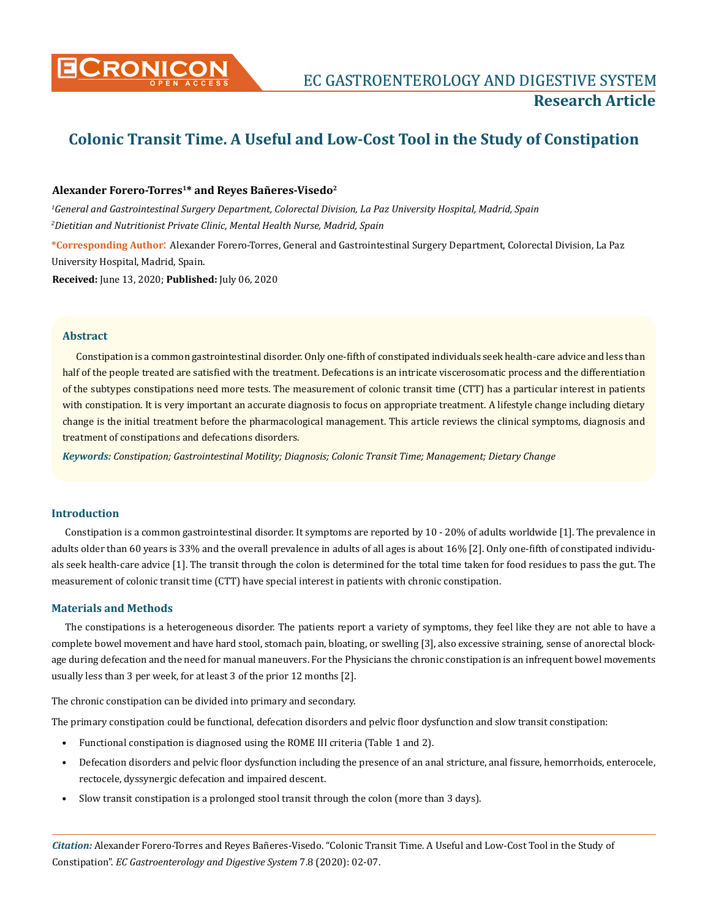

# **Colonic Transit Time. A Useful and Low-Cost Tool in the Study of Constipation**

# **Alexander Forero-Torres1\* and Reyes Bañeres-Visedo2**

*1 General and Gastrointestinal Surgery Department, Colorectal Division, La Paz University Hospital, Madrid, Spain 2 Dietitian and Nutritionist Private Clinic, Mental Health Nurse, Madrid, Spain*

**\*Corresponding Author**: Alexander Forero-Torres, General and Gastrointestinal Surgery Department, Colorectal Division, La Paz University Hospital, Madrid, Spain.

**Received:** June 13, 2020; **Published:** July 06, 2020

#### **Abstract**

Constipation is a common gastrointestinal disorder. Only one-fifth of constipated individuals seek health-care advice and less than half of the people treated are satisfied with the treatment. Defecations is an intricate viscerosomatic process and the differentiation of the subtypes constipations need more tests. The measurement of colonic transit time (CTT) has a particular interest in patients with constipation. It is very important an accurate diagnosis to focus on appropriate treatment. A lifestyle change including dietary change is the initial treatment before the pharmacological management. This article reviews the clinical symptoms, diagnosis and treatment of constipations and defecations disorders.

*Keywords: Constipation; Gastrointestinal Motility; Diagnosis; Colonic Transit Time; Management; Dietary Change*

#### **Introduction**

Constipation is a common gastrointestinal disorder. It symptoms are reported by 10 - 20% of adults worldwide [1]. The prevalence in adults older than 60 years is 33% and the overall prevalence in adults of all ages is about 16% [2]. Only one-fifth of constipated individuals seek health-care advice [1]. The transit through the colon is determined for the total time taken for food residues to pass the gut. The measurement of colonic transit time (CTT) have special interest in patients with chronic constipation.

# **Materials and Methods**

The constipations is a heterogeneous disorder. The patients report a variety of symptoms, they feel like they are not able to have a complete bowel movement and have hard stool, stomach pain, bloating, or swelling [3], also excessive straining, sense of anorectal blockage during defecation and the need for manual maneuvers. For the Physicians the chronic constipation is an infrequent bowel movements usually less than 3 per week, for at least 3 of the prior 12 months [2].

The chronic constipation can be divided into primary and secondary.

The primary constipation could be functional, defecation disorders and pelvic floor dysfunction and slow transit constipation:

- Functional constipation is diagnosed using the ROME III criteria (Table 1 and 2).
- Defecation disorders and pelvic floor dysfunction including the presence of an anal stricture, anal fissure, hemorrhoids, enterocele, rectocele, dyssynergic defecation and impaired descent.
- Slow transit constipation is a prolonged stool transit through the colon (more than 3 days).

*Citation:* Alexander Forero-Torres and Reyes Bañeres-Visedo. "Colonic Transit Time. A Useful and Low-Cost Tool in the Study of Constipation". *EC Gastroenterology and Digestive System* 7.8 (2020): 02-07.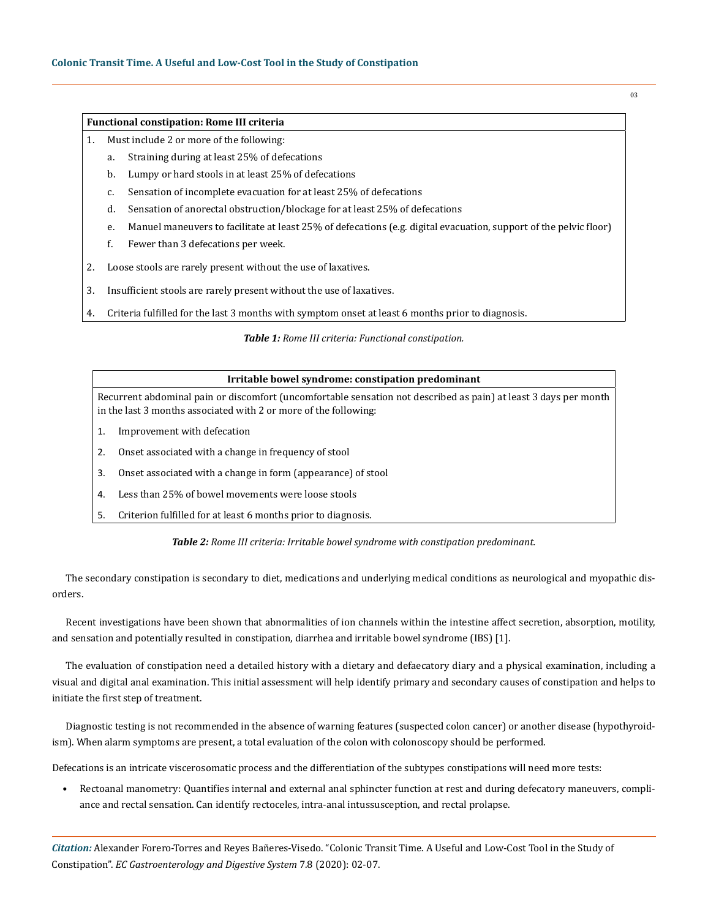#### **Functional constipation: Rome III criteria**

- 1. Must include 2 or more of the following:
	- a. Straining during at least 25% of defecations
	- b. Lumpy or hard stools in at least 25% of defecations
	- c. Sensation of incomplete evacuation for at least 25% of defecations
	- d. Sensation of anorectal obstruction/blockage for at least 25% of defecations
	- e. Manuel maneuvers to facilitate at least 25% of defecations (e.g. digital evacuation, support of the pelvic floor)
	- f. Fewer than 3 defecations per week.
- 2. Loose stools are rarely present without the use of laxatives.
- 3. Insufficient stools are rarely present without the use of laxatives.
- 4. Criteria fulfilled for the last 3 months with symptom onset at least 6 months prior to diagnosis.

#### *Table 1: Rome III criteria: Functional constipation.*

| Irritable bowel syndrome: constipation predominant                                                                                                                                   |
|--------------------------------------------------------------------------------------------------------------------------------------------------------------------------------------|
| Recurrent abdominal pain or discomfort (uncomfortable sensation not described as pain) at least 3 days per month<br>in the last 3 months associated with 2 or more of the following: |
| Improvement with defecation                                                                                                                                                          |
| Onset associated with a change in frequency of stool                                                                                                                                 |
| Onset associated with a change in form (appearance) of stool                                                                                                                         |
| Less than 25% of bowel movements were loose stools                                                                                                                                   |
|                                                                                                                                                                                      |

5. Criterion fulfilled for at least 6 months prior to diagnosis.

*Table 2: Rome III criteria: Irritable bowel syndrome with constipation predominant.*

The secondary constipation is secondary to diet, medications and underlying medical conditions as neurological and myopathic disorders.

Recent investigations have been shown that abnormalities of ion channels within the intestine affect secretion, absorption, motility, and sensation and potentially resulted in constipation, diarrhea and irritable bowel syndrome (IBS) [1].

The evaluation of constipation need a detailed history with a dietary and defaecatory diary and a physical examination, including a visual and digital anal examination. This initial assessment will help identify primary and secondary causes of constipation and helps to initiate the first step of treatment.

Diagnostic testing is not recommended in the absence of warning features (suspected colon cancer) or another disease (hypothyroidism). When alarm symptoms are present, a total evaluation of the colon with colonoscopy should be performed.

Defecations is an intricate viscerosomatic process and the differentiation of the subtypes constipations will need more tests:

• Rectoanal manometry: Quantifies internal and external anal sphincter function at rest and during defecatory maneuvers, compliance and rectal sensation. Can identify rectoceles, intra-anal intussusception, and rectal prolapse.

*Citation:* Alexander Forero-Torres and Reyes Bañeres-Visedo. "Colonic Transit Time. A Useful and Low-Cost Tool in the Study of Constipation". *EC Gastroenterology and Digestive System* 7.8 (2020): 02-07.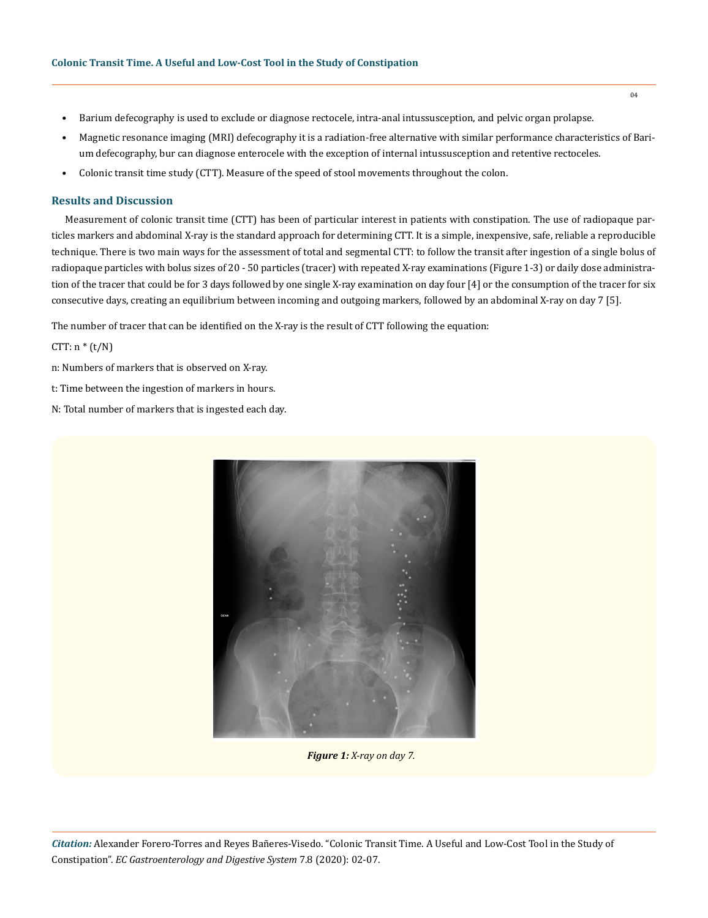- Barium defecography is used to exclude or diagnose rectocele, intra-anal intussusception, and pelvic organ prolapse.
- Magnetic resonance imaging (MRI) defecography it is a radiation-free alternative with similar performance characteristics of Barium defecography, bur can diagnose enterocele with the exception of internal intussusception and retentive rectoceles.
- Colonic transit time study (CTT). Measure of the speed of stool movements throughout the colon.

#### **Results and Discussion**

Measurement of colonic transit time (CTT) has been of particular interest in patients with constipation. The use of radiopaque particles markers and abdominal X-ray is the standard approach for determining CTT. It is a simple, inexpensive, safe, reliable a reproducible technique. There is two main ways for the assessment of total and segmental CTT: to follow the transit after ingestion of a single bolus of radiopaque particles with bolus sizes of 20 - 50 particles (tracer) with repeated X-ray examinations (Figure 1-3) or daily dose administration of the tracer that could be for 3 days followed by one single X-ray examination on day four [4] or the consumption of the tracer for six consecutive days, creating an equilibrium between incoming and outgoing markers, followed by an abdominal X-ray on day 7 [5].

The number of tracer that can be identified on the X-ray is the result of CTT following the equation:

CTT:  $n * (t/N)$ 

n: Numbers of markers that is observed on X-ray.

- t: Time between the ingestion of markers in hours.
- N: Total number of markers that is ingested each day.



*Figure 1: X-ray on day 7.*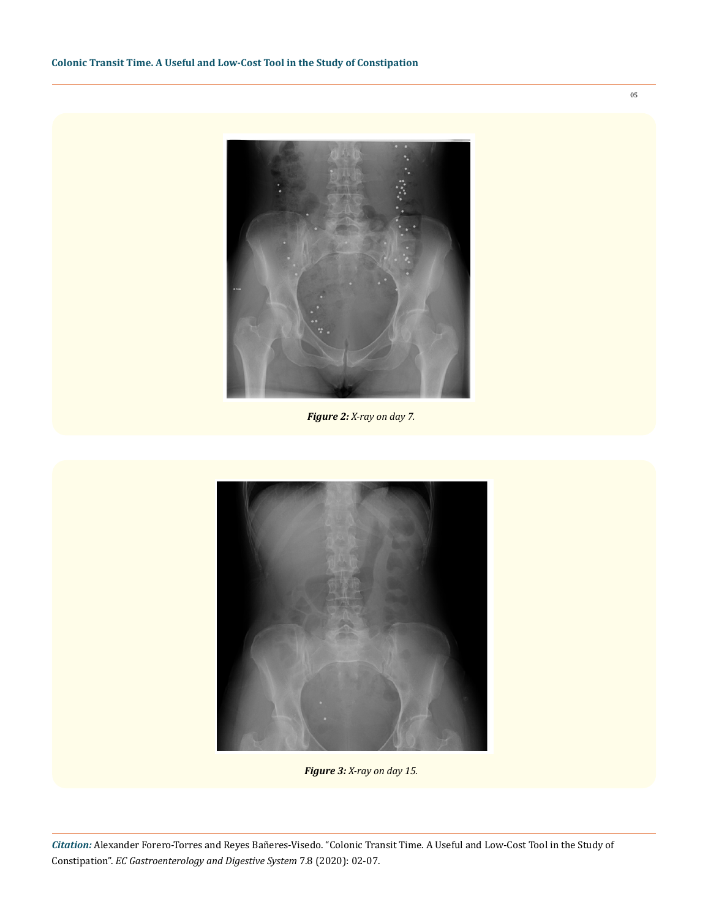

*Figure 2: X-ray on day 7.*



*Figure 3: X-ray on day 15.*

*Citation:* Alexander Forero-Torres and Reyes Bañeres-Visedo. "Colonic Transit Time. A Useful and Low-Cost Tool in the Study of Constipation". *EC Gastroenterology and Digestive System* 7.8 (2020): 02-07.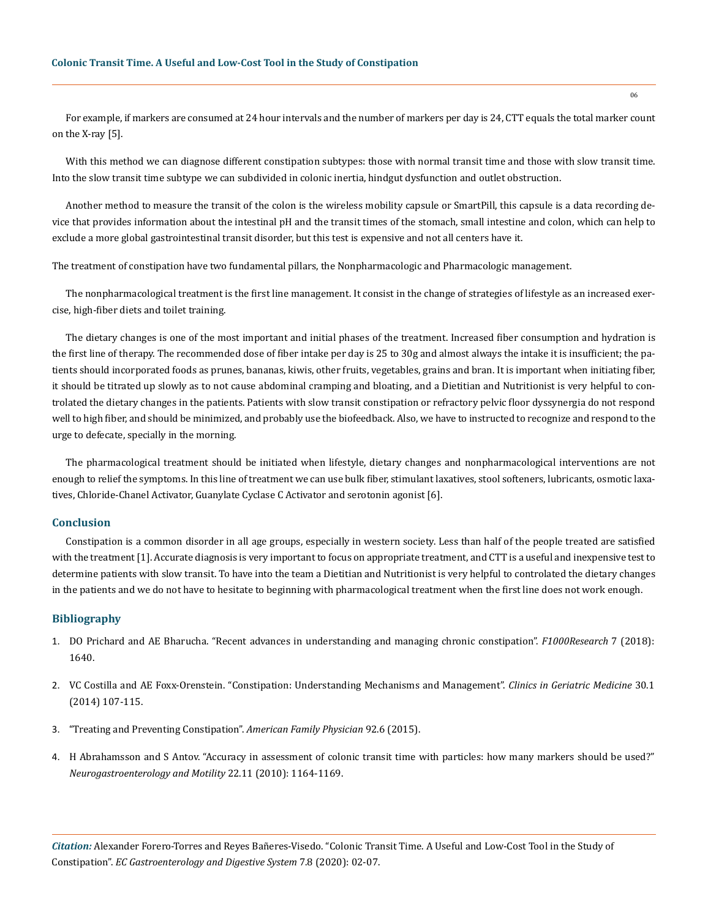For example, if markers are consumed at 24 hour intervals and the number of markers per day is 24, CTT equals the total marker count on the X-ray [5].

With this method we can diagnose different constipation subtypes: those with normal transit time and those with slow transit time. Into the slow transit time subtype we can subdivided in colonic inertia, hindgut dysfunction and outlet obstruction.

Another method to measure the transit of the colon is the wireless mobility capsule or SmartPill, this capsule is a data recording device that provides information about the intestinal pH and the transit times of the stomach, small intestine and colon, which can help to exclude a more global gastrointestinal transit disorder, but this test is expensive and not all centers have it.

The treatment of constipation have two fundamental pillars, the Nonpharmacologic and Pharmacologic management.

The nonpharmacological treatment is the first line management. It consist in the change of strategies of lifestyle as an increased exercise, high-fiber diets and toilet training.

The dietary changes is one of the most important and initial phases of the treatment. Increased fiber consumption and hydration is the first line of therapy. The recommended dose of fiber intake per day is 25 to 30g and almost always the intake it is insufficient; the patients should incorporated foods as prunes, bananas, kiwis, other fruits, vegetables, grains and bran. It is important when initiating fiber, it should be titrated up slowly as to not cause abdominal cramping and bloating, and a Dietitian and Nutritionist is very helpful to controlated the dietary changes in the patients. Patients with slow transit constipation or refractory pelvic floor dyssynergia do not respond well to high fiber, and should be minimized, and probably use the biofeedback. Also, we have to instructed to recognize and respond to the urge to defecate, specially in the morning.

The pharmacological treatment should be initiated when lifestyle, dietary changes and nonpharmacological interventions are not enough to relief the symptoms. In this line of treatment we can use bulk fiber, stimulant laxatives, stool softeners, lubricants, osmotic laxatives, Chloride-Chanel Activator, Guanylate Cyclase C Activator and serotonin agonist [6].

# **Conclusion**

Constipation is a common disorder in all age groups, especially in western society. Less than half of the people treated are satisfied with the treatment [1]. Accurate diagnosis is very important to focus on appropriate treatment, and CTT is a useful and inexpensive test to determine patients with slow transit. To have into the team a Dietitian and Nutritionist is very helpful to controlated the dietary changes in the patients and we do not have to hesitate to beginning with pharmacological treatment when the first line does not work enough.

### **Bibliography**

- 1. [DO Prichard and AE Bharucha. "Recent advances in understanding and managing chronic constipation".](https://pubmed.ncbi.nlm.nih.gov/30364088/) *F1000Research* 7 (2018): [1640.](https://pubmed.ncbi.nlm.nih.gov/30364088/)
- 2. [VC Costilla and AE Foxx-Orenstein. "Constipation: Understanding Mechanisms and Management".](https://pubmed.ncbi.nlm.nih.gov/24267606/) *Clinics in Geriatric Medicine* 30.1 [\(2014\) 107-115.](https://pubmed.ncbi.nlm.nih.gov/24267606/)
- 3. ["Treating and Preventing Constipation".](https://www.aafp.org/afp/2015/0915/p500-s1.html) *American Family Physician* 92.6 (2015).
- 4. [H Abrahamsson and S Antov. "Accuracy in assessment of colonic transit time with particles: how many markers should be used?"](https://pubmed.ncbi.nlm.nih.gov/20584262/) *[Neurogastroenterology and Motility](https://pubmed.ncbi.nlm.nih.gov/20584262/)* 22.11 (2010): 1164-1169.

*Citation:* Alexander Forero-Torres and Reyes Bañeres-Visedo. "Colonic Transit Time. A Useful and Low-Cost Tool in the Study of Constipation". *EC Gastroenterology and Digestive System* 7.8 (2020): 02-07.